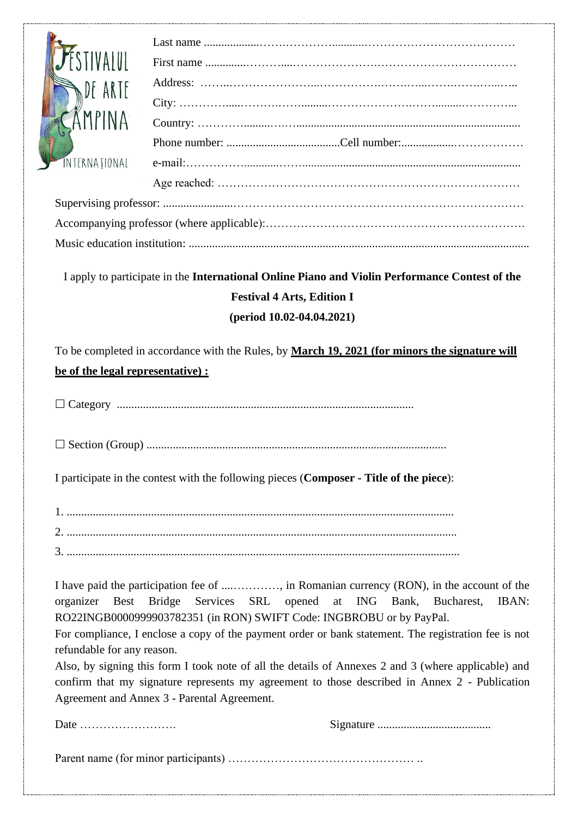| DF ARTE                                                                                        |                                             |                                                                                                      |
|------------------------------------------------------------------------------------------------|---------------------------------------------|------------------------------------------------------------------------------------------------------|
|                                                                                                |                                             |                                                                                                      |
|                                                                                                |                                             |                                                                                                      |
|                                                                                                |                                             |                                                                                                      |
| <b>INTERNATIONAL</b>                                                                           |                                             |                                                                                                      |
|                                                                                                |                                             |                                                                                                      |
|                                                                                                |                                             |                                                                                                      |
|                                                                                                |                                             |                                                                                                      |
|                                                                                                |                                             |                                                                                                      |
|                                                                                                |                                             |                                                                                                      |
|                                                                                                |                                             | I apply to participate in the International Online Piano and Violin Performance Contest of the       |
| <b>Festival 4 Arts, Edition I</b>                                                              |                                             |                                                                                                      |
| (period $10.02 - 04.04.2021$ )                                                                 |                                             |                                                                                                      |
|                                                                                                |                                             |                                                                                                      |
| To be completed in accordance with the Rules, by March 19, 2021 (for minors the signature will |                                             |                                                                                                      |
| be of the legal representative) :                                                              |                                             |                                                                                                      |
|                                                                                                |                                             |                                                                                                      |
|                                                                                                |                                             |                                                                                                      |
|                                                                                                |                                             |                                                                                                      |
|                                                                                                |                                             |                                                                                                      |
|                                                                                                |                                             |                                                                                                      |
|                                                                                                |                                             | I participate in the contest with the following pieces (Composer - Title of the piece):              |
|                                                                                                |                                             |                                                                                                      |
|                                                                                                |                                             |                                                                                                      |
|                                                                                                |                                             |                                                                                                      |
|                                                                                                |                                             |                                                                                                      |
|                                                                                                |                                             |                                                                                                      |
| Bridge Services SRL opened at ING Bank, Bucharest,<br>organizer<br><b>Best</b><br><b>IBAN:</b> |                                             |                                                                                                      |
|                                                                                                |                                             | RO22INGB0000999903782351 (in RON) SWIFT Code: INGBROBU or by PayPal.                                 |
|                                                                                                |                                             | For compliance, I enclose a copy of the payment order or bank statement. The registration fee is not |
| refundable for any reason.                                                                     |                                             |                                                                                                      |
|                                                                                                |                                             | Also, by signing this form I took note of all the details of Annexes 2 and 3 (where applicable) and  |
|                                                                                                |                                             | confirm that my signature represents my agreement to those described in Annex 2 - Publication        |
|                                                                                                | Agreement and Annex 3 - Parental Agreement. |                                                                                                      |
| Date $\dots\dots\dots\dots\dots\dots\dots\dots\dots$                                           |                                             |                                                                                                      |
|                                                                                                |                                             |                                                                                                      |
|                                                                                                |                                             |                                                                                                      |
|                                                                                                |                                             |                                                                                                      |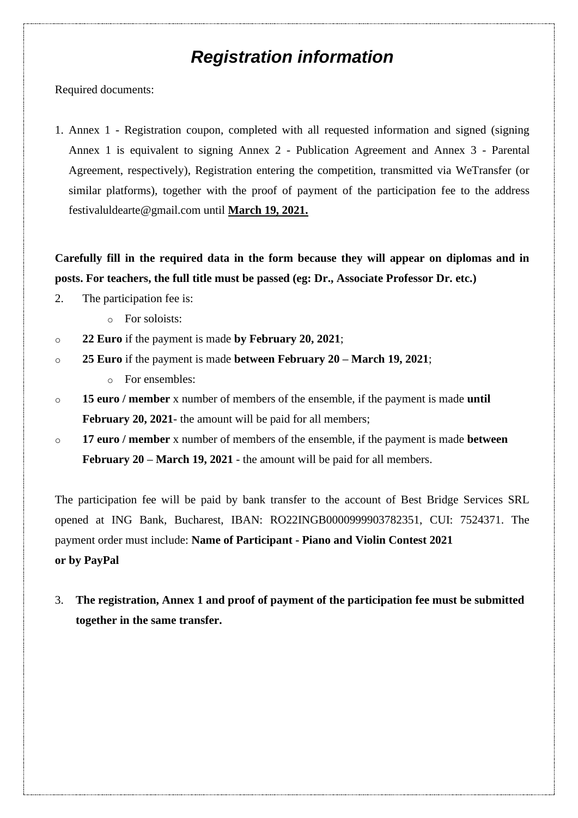## *Registration information*

Required documents:

1. Annex 1 - Registration coupon, completed with all requested information and signed (signing Annex 1 is equivalent to signing Annex 2 - Publication Agreement and Annex 3 - Parental Agreement, respectively), Registration entering the competition, transmitted via WeTransfer (or similar platforms), together with the proof of payment of the participation fee to the address festivaluldearte@gmail.com until **March 19, 2021.**

**Carefully fill in the required data in the form because they will appear on diplomas and in posts. For teachers, the full title must be passed (eg: Dr., Associate Professor Dr. etc.)**

- 2. The participation fee is:
	- o For soloists:
- o **22 Euro** if the payment is made **by February 20, 2021**;
- o **25 Euro** if the payment is made **between February 20 – March 19, 2021**;
	- o For ensembles:
- o **15 euro / member** x number of members of the ensemble, if the payment is made **until**  February 20, 2021- the amount will be paid for all members;
- o **17 euro / member** x number of members of the ensemble, if the payment is made **between February 20 – March 19, 2021** - the amount will be paid for all members.

The participation fee will be paid by bank transfer to the account of Best Bridge Services SRL opened at ING Bank, Bucharest, IBAN: RO22INGB0000999903782351, CUI: 7524371. The payment order must include: **Name of Participant - Piano and Violin Contest 2021 or by PayPal**

3. **The registration, Annex 1 and proof of payment of the participation fee must be submitted together in the same transfer.**